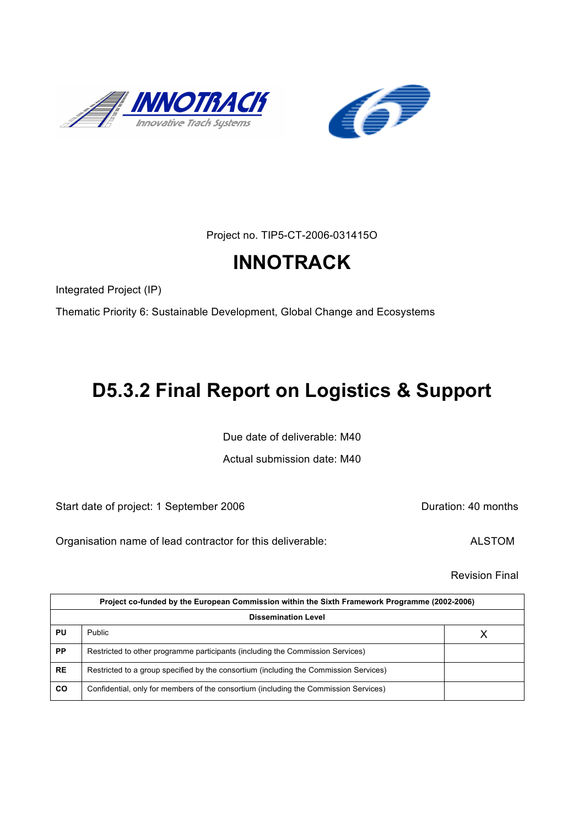



Project no. TIP5-CT-2006-031415O

# **INNOTRACK**

Integrated Project (IP)

Thematic Priority 6: Sustainable Development, Global Change and Ecosystems

# **D5.3.2 Final Report on Logistics & Support**

Due date of deliverable: M40

Actual submission date: M40

Start date of project: 1 September 2006 **Duration: 40 months** 

Organisation name of lead contractor for this deliverable: ALSTOM

Revision Final

| Project co-funded by the European Commission within the Sixth Framework Programme (2002-2006) |                                                                                       |  |  |
|-----------------------------------------------------------------------------------------------|---------------------------------------------------------------------------------------|--|--|
| <b>Dissemination Level</b>                                                                    |                                                                                       |  |  |
| PU                                                                                            | Public                                                                                |  |  |
| <b>PP</b>                                                                                     | Restricted to other programme participants (including the Commission Services)        |  |  |
| <b>RE</b>                                                                                     | Restricted to a group specified by the consortium (including the Commission Services) |  |  |
| CO                                                                                            | Confidential, only for members of the consortium (including the Commission Services)  |  |  |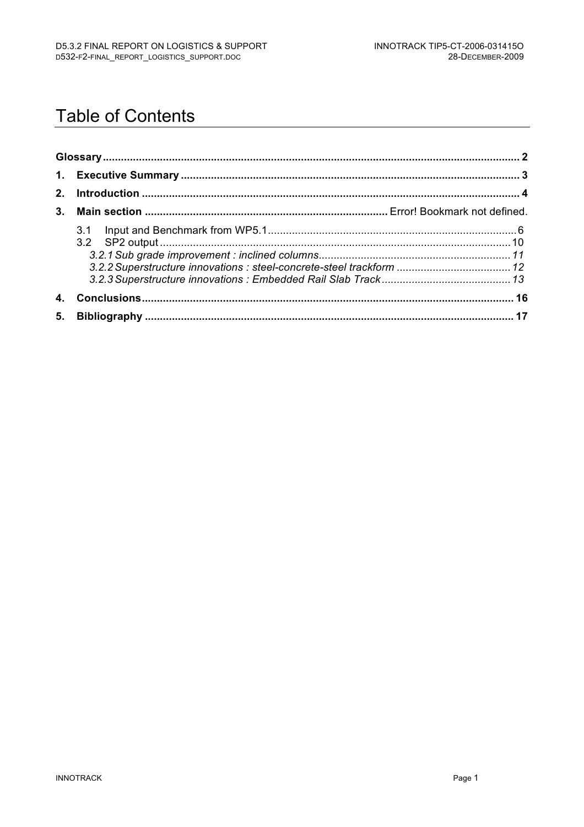## **Table of Contents**

| 3.2.2 Superstructure innovations : steel-concrete-steel trackform  12 |  |
|-----------------------------------------------------------------------|--|
|                                                                       |  |
|                                                                       |  |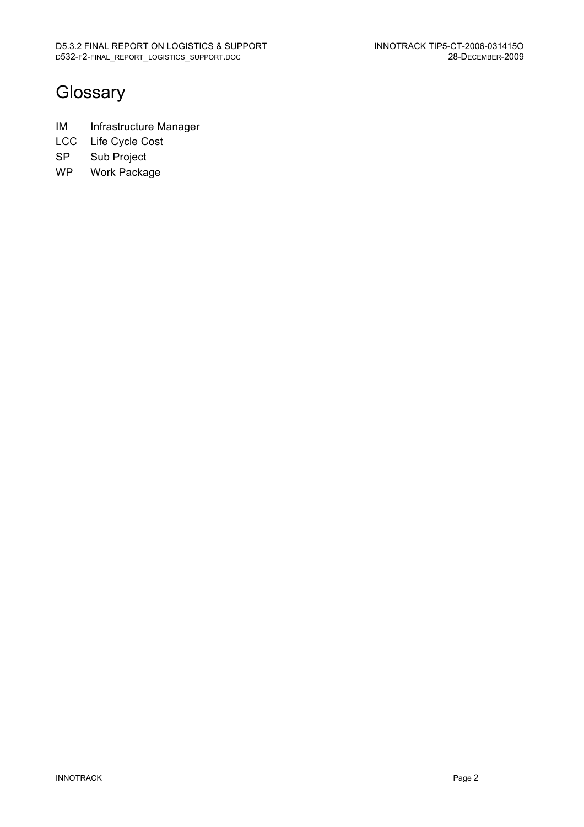### **Glossary**

- IM Infrastructure Manager
- LCC Life Cycle Cost
- SP Sub Project
- WP Work Package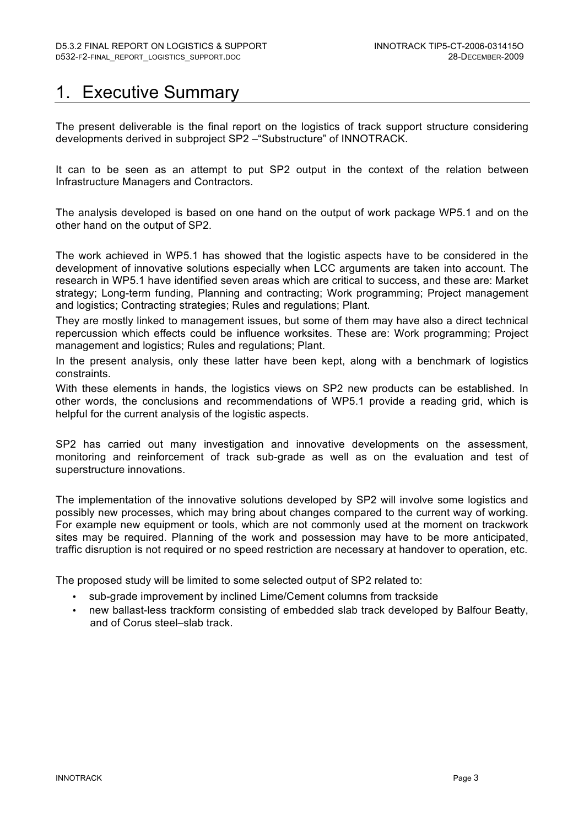### 1. Executive Summary

The present deliverable is the final report on the logistics of track support structure considering developments derived in subproject SP2 –"Substructure" of INNOTRACK.

It can to be seen as an attempt to put SP2 output in the context of the relation between Infrastructure Managers and Contractors.

The analysis developed is based on one hand on the output of work package WP5.1 and on the other hand on the output of SP2.

The work achieved in WP5.1 has showed that the logistic aspects have to be considered in the development of innovative solutions especially when LCC arguments are taken into account. The research in WP5.1 have identified seven areas which are critical to success, and these are: Market strategy; Long-term funding, Planning and contracting; Work programming; Project management and logistics; Contracting strategies; Rules and regulations; Plant.

They are mostly linked to management issues, but some of them may have also a direct technical repercussion which effects could be influence worksites. These are: Work programming; Project management and logistics; Rules and regulations; Plant.

In the present analysis, only these latter have been kept, along with a benchmark of logistics constraints.

With these elements in hands, the logistics views on SP2 new products can be established. In other words, the conclusions and recommendations of WP5.1 provide a reading grid, which is helpful for the current analysis of the logistic aspects.

SP2 has carried out many investigation and innovative developments on the assessment, monitoring and reinforcement of track sub-grade as well as on the evaluation and test of superstructure innovations.

The implementation of the innovative solutions developed by SP2 will involve some logistics and possibly new processes, which may bring about changes compared to the current way of working. For example new equipment or tools, which are not commonly used at the moment on trackwork sites may be required. Planning of the work and possession may have to be more anticipated, traffic disruption is not required or no speed restriction are necessary at handover to operation, etc.

The proposed study will be limited to some selected output of SP2 related to:

- sub-grade improvement by inclined Lime/Cement columns from trackside
- new ballast-less trackform consisting of embedded slab track developed by Balfour Beatty, and of Corus steel–slab track.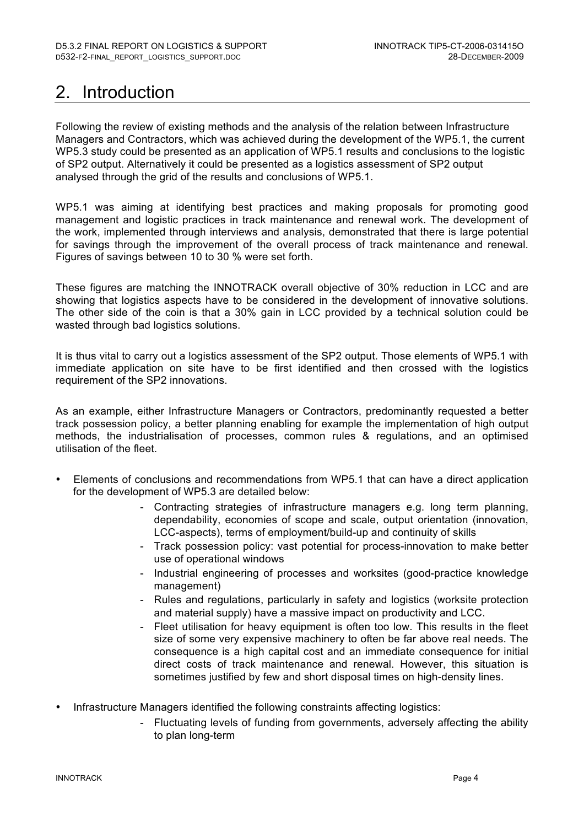## 2. Introduction

Following the review of existing methods and the analysis of the relation between Infrastructure Managers and Contractors, which was achieved during the development of the WP5.1, the current WP5.3 study could be presented as an application of WP5.1 results and conclusions to the logistic of SP2 output. Alternatively it could be presented as a logistics assessment of SP2 output analysed through the grid of the results and conclusions of WP5.1.

WP5.1 was aiming at identifying best practices and making proposals for promoting good management and logistic practices in track maintenance and renewal work. The development of the work, implemented through interviews and analysis, demonstrated that there is large potential for savings through the improvement of the overall process of track maintenance and renewal. Figures of savings between 10 to 30 % were set forth.

These figures are matching the INNOTRACK overall objective of 30% reduction in LCC and are showing that logistics aspects have to be considered in the development of innovative solutions. The other side of the coin is that a 30% gain in LCC provided by a technical solution could be wasted through bad logistics solutions.

It is thus vital to carry out a logistics assessment of the SP2 output. Those elements of WP5.1 with immediate application on site have to be first identified and then crossed with the logistics requirement of the SP2 innovations.

As an example, either Infrastructure Managers or Contractors, predominantly requested a better track possession policy, a better planning enabling for example the implementation of high output methods, the industrialisation of processes, common rules & regulations, and an optimised utilisation of the fleet.

- Elements of conclusions and recommendations from WP5.1 that can have a direct application for the development of WP5.3 are detailed below:
	- Contracting strategies of infrastructure managers e.g. long term planning, dependability, economies of scope and scale, output orientation (innovation, LCC-aspects), terms of employment/build-up and continuity of skills
	- Track possession policy: vast potential for process-innovation to make better use of operational windows
	- Industrial engineering of processes and worksites (good-practice knowledge) management)
	- Rules and regulations, particularly in safety and logistics (worksite protection and material supply) have a massive impact on productivity and LCC.
	- Fleet utilisation for heavy equipment is often too low. This results in the fleet size of some very expensive machinery to often be far above real needs. The consequence is a high capital cost and an immediate consequence for initial direct costs of track maintenance and renewal. However, this situation is sometimes justified by few and short disposal times on high-density lines.
- Infrastructure Managers identified the following constraints affecting logistics:
	- Fluctuating levels of funding from governments, adversely affecting the ability to plan long-term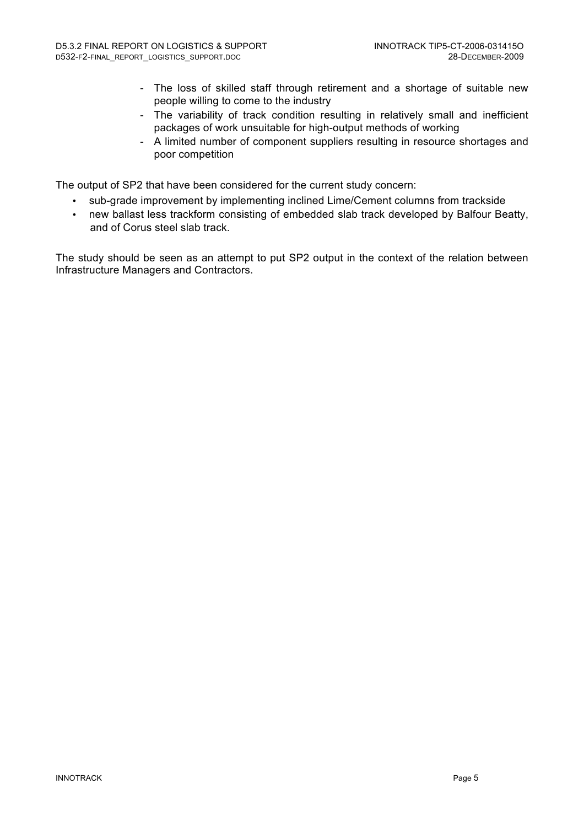- The loss of skilled staff through retirement and a shortage of suitable new people willing to come to the industry
- The variability of track condition resulting in relatively small and inefficient packages of work unsuitable for high-output methods of working
- A limited number of component suppliers resulting in resource shortages and poor competition

The output of SP2 that have been considered for the current study concern:

- sub-grade improvement by implementing inclined Lime/Cement columns from trackside
- new ballast less trackform consisting of embedded slab track developed by Balfour Beatty, and of Corus steel slab track.

The study should be seen as an attempt to put SP2 output in the context of the relation between Infrastructure Managers and Contractors.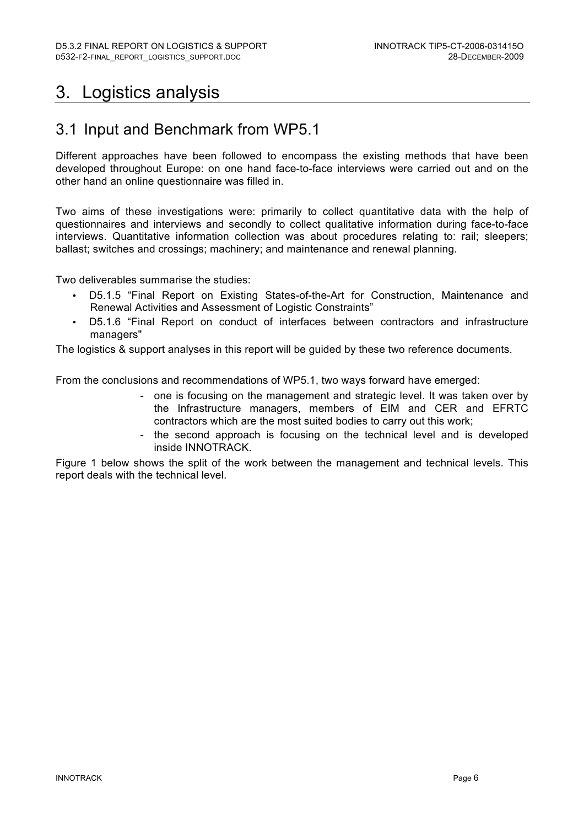### 3. Logistics analysis

### 3.1 Input and Benchmark from WP5.1

Different approaches have been followed to encompass the existing methods that have been developed throughout Europe: on one hand face-to-face interviews were carried out and on the other hand an online questionnaire was filled in.

Two aims of these investigations were: primarily to collect quantitative data with the help of questionnaires and interviews and secondly to collect qualitative information during face-to-face interviews. Quantitative information collection was about procedures relating to: rail; sleepers; ballast; switches and crossings; machinery; and maintenance and renewal planning.

Two deliverables summarise the studies:

- D5.1.5 "Final Report on Existing States-of-the-Art for Construction, Maintenance and Renewal Activities and Assessment of Logistic Constraints"
- D5.1.6 "Final Report on conduct of interfaces between contractors and infrastructure managers"

The logistics & support analyses in this report will be guided by these two reference documents.

From the conclusions and recommendations of WP5.1, two ways forward have emerged:

- one is focusing on the management and strategic level. It was taken over by the Infrastructure managers, members of EIM and CER and EFRTC contractors which are the most suited bodies to carry out this work;
- the second approach is focusing on the technical level and is developed inside INNOTRACK.

Figure 1 below shows the split of the work between the management and technical levels. This report deals with the technical level.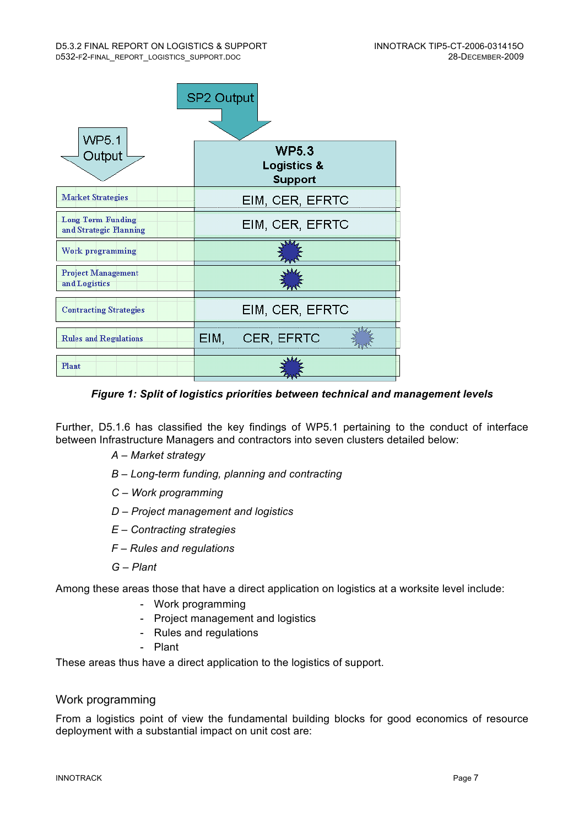

*Figure 1: Split of logistics priorities between technical and management levels*

Further, D5.1.6 has classified the key findings of WP5.1 pertaining to the conduct of interface between Infrastructure Managers and contractors into seven clusters detailed below:

- *A Market strategy*
- *B Long-term funding, planning and contracting*
- *C Work programming*
- *D Project management and logistics*
- *E Contracting strategies*
- *F Rules and regulations*
- *G Plant*

Among these areas those that have a direct application on logistics at a worksite level include:

- Work programming
- Project management and logistics
- Rules and regulations
- Plant

These areas thus have a direct application to the logistics of support.

#### Work programming

From a logistics point of view the fundamental building blocks for good economics of resource deployment with a substantial impact on unit cost are: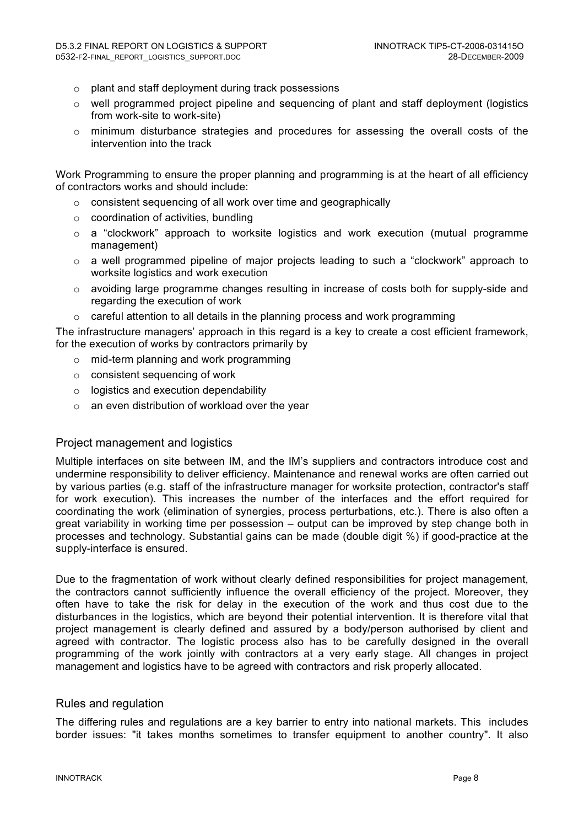- o plant and staff deployment during track possessions
- $\circ$  well programmed project pipeline and sequencing of plant and staff deployment (logistics from work-site to work-site)
- o minimum disturbance strategies and procedures for assessing the overall costs of the intervention into the track

Work Programming to ensure the proper planning and programming is at the heart of all efficiency of contractors works and should include:

- o consistent sequencing of all work over time and geographically
- $\circ$  coordination of activities, bundling
- o a "clockwork" approach to worksite logistics and work execution (mutual programme management)
- o a well programmed pipeline of major projects leading to such a "clockwork" approach to worksite logistics and work execution
- $\circ$  avoiding large programme changes resulting in increase of costs both for supply-side and regarding the execution of work
- o careful attention to all details in the planning process and work programming

The infrastructure managers' approach in this regard is a key to create a cost efficient framework, for the execution of works by contractors primarily by

- o mid-term planning and work programming
- o consistent sequencing of work
- o logistics and execution dependability
- $\circ$  an even distribution of workload over the year

#### Project management and logistics

Multiple interfaces on site between IM, and the IM's suppliers and contractors introduce cost and undermine responsibility to deliver efficiency. Maintenance and renewal works are often carried out by various parties (e.g. staff of the infrastructure manager for worksite protection, contractor's staff for work execution). This increases the number of the interfaces and the effort required for coordinating the work (elimination of synergies, process perturbations, etc.). There is also often a great variability in working time per possession – output can be improved by step change both in processes and technology. Substantial gains can be made (double digit %) if good-practice at the supply-interface is ensured.

Due to the fragmentation of work without clearly defined responsibilities for project management, the contractors cannot sufficiently influence the overall efficiency of the project. Moreover, they often have to take the risk for delay in the execution of the work and thus cost due to the disturbances in the logistics, which are beyond their potential intervention. It is therefore vital that project management is clearly defined and assured by a body/person authorised by client and agreed with contractor. The logistic process also has to be carefully designed in the overall programming of the work jointly with contractors at a very early stage. All changes in project management and logistics have to be agreed with contractors and risk properly allocated.

#### Rules and regulation

The differing rules and regulations are a key barrier to entry into national markets. This includes border issues: "it takes months sometimes to transfer equipment to another country". It also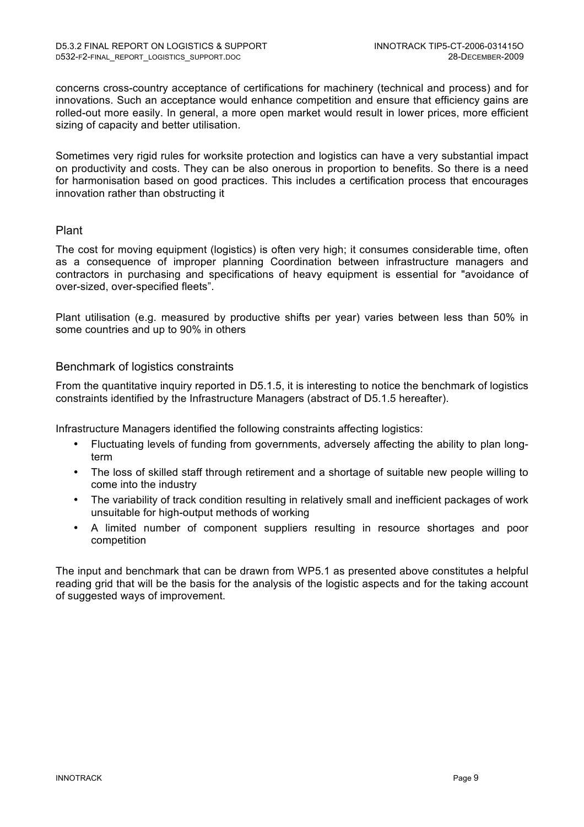concerns cross-country acceptance of certifications for machinery (technical and process) and for innovations. Such an acceptance would enhance competition and ensure that efficiency gains are rolled-out more easily. In general, a more open market would result in lower prices, more efficient sizing of capacity and better utilisation.

Sometimes very rigid rules for worksite protection and logistics can have a very substantial impact on productivity and costs. They can be also onerous in proportion to benefits. So there is a need for harmonisation based on good practices. This includes a certification process that encourages innovation rather than obstructing it

#### Plant

The cost for moving equipment (logistics) is often very high; it consumes considerable time, often as a consequence of improper planning Coordination between infrastructure managers and contractors in purchasing and specifications of heavy equipment is essential for "avoidance of over-sized, over-specified fleets".

Plant utilisation (e.g. measured by productive shifts per year) varies between less than 50% in some countries and up to 90% in others

#### Benchmark of logistics constraints

From the quantitative inquiry reported in D5.1.5, it is interesting to notice the benchmark of logistics constraints identified by the Infrastructure Managers (abstract of D5.1.5 hereafter).

Infrastructure Managers identified the following constraints affecting logistics:

- Fluctuating levels of funding from governments, adversely affecting the ability to plan longterm
- The loss of skilled staff through retirement and a shortage of suitable new people willing to come into the industry
- The variability of track condition resulting in relatively small and inefficient packages of work unsuitable for high-output methods of working
- A limited number of component suppliers resulting in resource shortages and poor competition

The input and benchmark that can be drawn from WP5.1 as presented above constitutes a helpful reading grid that will be the basis for the analysis of the logistic aspects and for the taking account of suggested ways of improvement.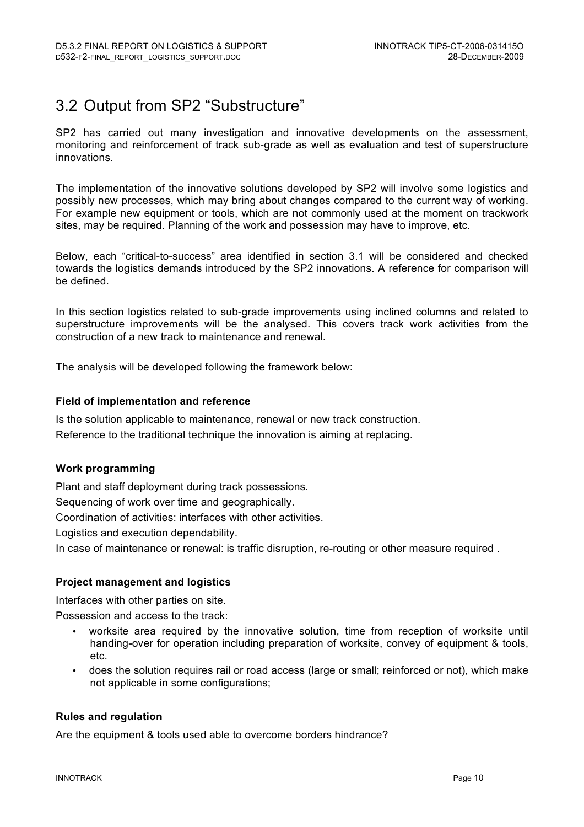### 3.2 Output from SP2 "Substructure"

SP2 has carried out many investigation and innovative developments on the assessment, monitoring and reinforcement of track sub-grade as well as evaluation and test of superstructure innovations.

The implementation of the innovative solutions developed by SP2 will involve some logistics and possibly new processes, which may bring about changes compared to the current way of working. For example new equipment or tools, which are not commonly used at the moment on trackwork sites, may be required. Planning of the work and possession may have to improve, etc.

Below, each "critical-to-success" area identified in section 3.1 will be considered and checked towards the logistics demands introduced by the SP2 innovations. A reference for comparison will be defined.

In this section logistics related to sub-grade improvements using inclined columns and related to superstructure improvements will be the analysed. This covers track work activities from the construction of a new track to maintenance and renewal.

The analysis will be developed following the framework below:

#### **Field of implementation and reference**

Is the solution applicable to maintenance, renewal or new track construction. Reference to the traditional technique the innovation is aiming at replacing.

#### **Work programming**

Plant and staff deployment during track possessions.

Sequencing of work over time and geographically.

Coordination of activities: interfaces with other activities.

Logistics and execution dependability.

In case of maintenance or renewal: is traffic disruption, re-routing or other measure required .

#### **Project management and logistics**

Interfaces with other parties on site.

Possession and access to the track:

- worksite area required by the innovative solution, time from reception of worksite until handing-over for operation including preparation of worksite, convey of equipment & tools, etc.
- does the solution requires rail or road access (large or small; reinforced or not), which make not applicable in some configurations;

#### **Rules and regulation**

Are the equipment & tools used able to overcome borders hindrance?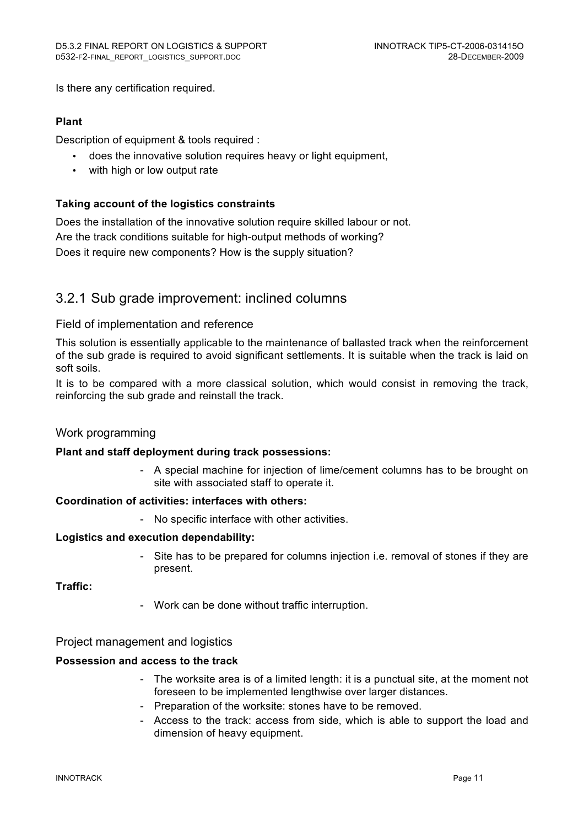Is there any certification required.

#### **Plant**

Description of equipment & tools required :

- does the innovative solution requires heavy or light equipment,
- with high or low output rate

#### **Taking account of the logistics constraints**

Does the installation of the innovative solution require skilled labour or not. Are the track conditions suitable for high-output methods of working? Does it require new components? How is the supply situation?

### 3.2.1 Sub grade improvement: inclined columns

#### Field of implementation and reference

This solution is essentially applicable to the maintenance of ballasted track when the reinforcement of the sub grade is required to avoid significant settlements. It is suitable when the track is laid on soft soils.

It is to be compared with a more classical solution, which would consist in removing the track, reinforcing the sub grade and reinstall the track.

#### Work programming

#### **Plant and staff deployment during track possessions:**

- A special machine for injection of lime/cement columns has to be brought on site with associated staff to operate it.

#### **Coordination of activities: interfaces with others:**

- No specific interface with other activities.

#### **Logistics and execution dependability:**

Site has to be prepared for columns injection i.e. removal of stones if they are present.

#### **Traffic:**

- Work can be done without traffic interruption.

#### Project management and logistics

#### **Possession and access to the track**

- The worksite area is of a limited length: it is a punctual site, at the moment not foreseen to be implemented lengthwise over larger distances.
- Preparation of the worksite: stones have to be removed.
- Access to the track: access from side, which is able to support the load and dimension of heavy equipment.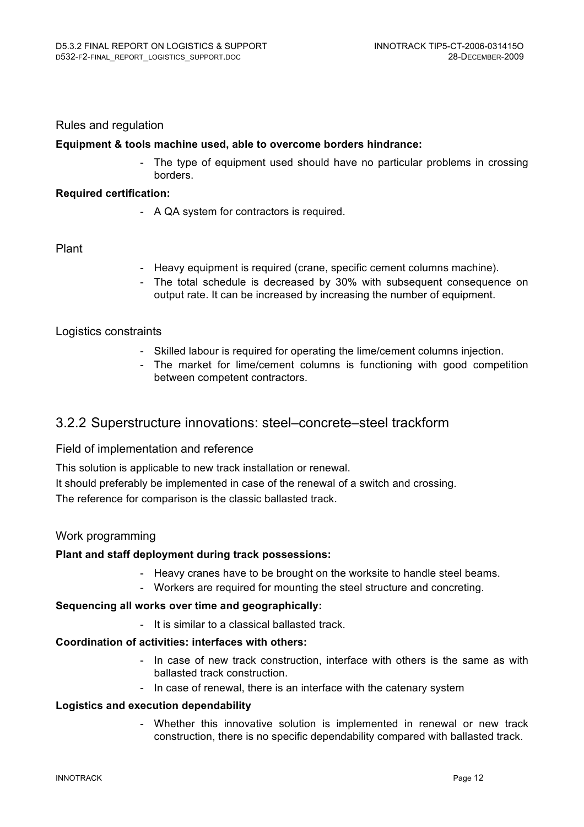#### Rules and regulation

#### **Equipment & tools machine used, able to overcome borders hindrance:**

The type of equipment used should have no particular problems in crossing borders.

#### **Required certification:**

- A QA system for contractors is required.

#### Plant

- Heavy equipment is required (crane, specific cement columns machine).
- The total schedule is decreased by 30% with subsequent consequence on output rate. It can be increased by increasing the number of equipment.

#### Logistics constraints

- Skilled labour is required for operating the lime/cement columns injection.
- The market for lime/cement columns is functioning with good competition between competent contractors.

#### 3.2.2 Superstructure innovations: steel–concrete–steel trackform

#### Field of implementation and reference

This solution is applicable to new track installation or renewal.

It should preferably be implemented in case of the renewal of a switch and crossing. The reference for comparison is the classic ballasted track.

#### Work programming

#### **Plant and staff deployment during track possessions:**

- Heavy cranes have to be brought on the worksite to handle steel beams.
- Workers are required for mounting the steel structure and concreting.

#### **Sequencing all works over time and geographically:**

- It is similar to a classical ballasted track.

#### **Coordination of activities: interfaces with others:**

- In case of new track construction, interface with others is the same as with ballasted track construction.
- In case of renewal, there is an interface with the catenary system

#### **Logistics and execution dependability**

- Whether this innovative solution is implemented in renewal or new track construction, there is no specific dependability compared with ballasted track.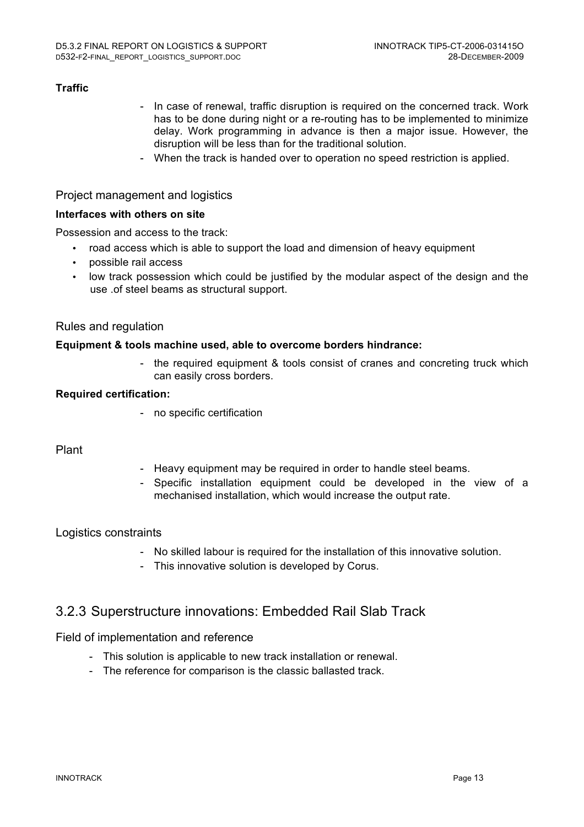#### **Traffic**

- In case of renewal, traffic disruption is required on the concerned track. Work has to be done during night or a re-routing has to be implemented to minimize delay. Work programming in advance is then a major issue. However, the disruption will be less than for the traditional solution.
- When the track is handed over to operation no speed restriction is applied.

#### Project management and logistics

#### **Interfaces with others on site**

Possession and access to the track:

- road access which is able to support the load and dimension of heavy equipment
- possible rail access
- low track possession which could be justified by the modular aspect of the design and the use .of steel beams as structural support.

#### Rules and regulation

#### **Equipment & tools machine used, able to overcome borders hindrance:**

- the required equipment & tools consist of cranes and concreting truck which can easily cross borders.

#### **Required certification:**

- no specific certification

#### Plant

- Heavy equipment may be required in order to handle steel beams.
- Specific installation equipment could be developed in the view of a mechanised installation, which would increase the output rate.

#### Logistics constraints

- No skilled labour is required for the installation of this innovative solution.
- This innovative solution is developed by Corus.

#### 3.2.3 Superstructure innovations: Embedded Rail Slab Track

#### Field of implementation and reference

- This solution is applicable to new track installation or renewal.
- The reference for comparison is the classic ballasted track.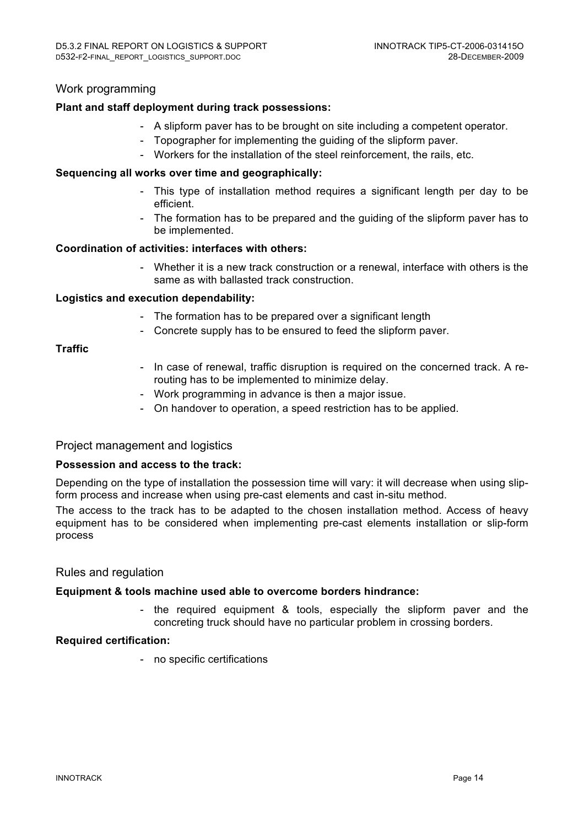#### Work programming

#### **Plant and staff deployment during track possessions:**

- A slipform paver has to be brought on site including a competent operator.
- Topographer for implementing the guiding of the slipform paver.
- Workers for the installation of the steel reinforcement, the rails, etc.

#### **Sequencing all works over time and geographically:**

- This type of installation method requires a significant length per day to be efficient.
- The formation has to be prepared and the guiding of the slipform paver has to be implemented.

#### **Coordination of activities: interfaces with others:**

- Whether it is a new track construction or a renewal, interface with others is the same as with ballasted track construction.

#### **Logistics and execution dependability:**

- The formation has to be prepared over a significant length
- Concrete supply has to be ensured to feed the slipform paver.

#### **Traffic**

- In case of renewal, traffic disruption is required on the concerned track. A rerouting has to be implemented to minimize delay.
- Work programming in advance is then a major issue.
- On handover to operation, a speed restriction has to be applied.

#### Project management and logistics

#### **Possession and access to the track:**

Depending on the type of installation the possession time will vary: it will decrease when using slipform process and increase when using pre-cast elements and cast in-situ method.

The access to the track has to be adapted to the chosen installation method. Access of heavy equipment has to be considered when implementing pre-cast elements installation or slip-form process

#### Rules and regulation

#### **Equipment & tools machine used able to overcome borders hindrance:**

- the required equipment & tools, especially the slipform paver and the concreting truck should have no particular problem in crossing borders.

#### **Required certification:**

- no specific certifications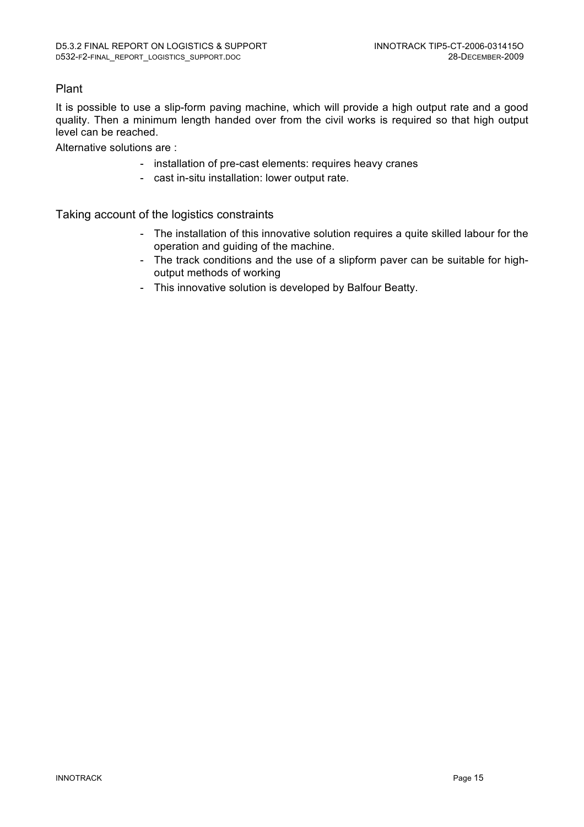#### Plant

It is possible to use a slip-form paving machine, which will provide a high output rate and a good quality. Then a minimum length handed over from the civil works is required so that high output level can be reached.

Alternative solutions are :

- installation of pre-cast elements: requires heavy cranes
- cast in-situ installation: lower output rate.

Taking account of the logistics constraints

- The installation of this innovative solution requires a quite skilled labour for the operation and guiding of the machine.
- The track conditions and the use of a slipform paver can be suitable for highoutput methods of working
- This innovative solution is developed by Balfour Beatty.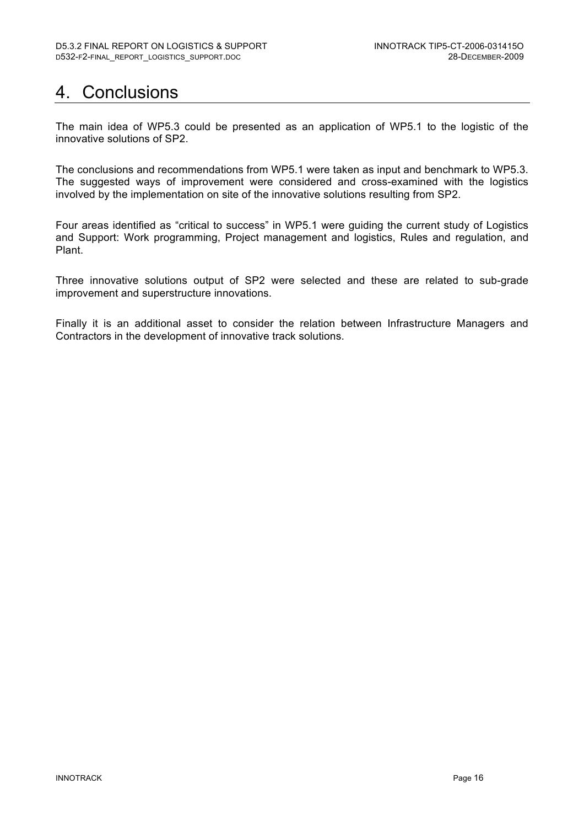### 4. Conclusions

The main idea of WP5.3 could be presented as an application of WP5.1 to the logistic of the innovative solutions of SP2.

The conclusions and recommendations from WP5.1 were taken as input and benchmark to WP5.3. The suggested ways of improvement were considered and cross-examined with the logistics involved by the implementation on site of the innovative solutions resulting from SP2.

Four areas identified as "critical to success" in WP5.1 were guiding the current study of Logistics and Support: Work programming, Project management and logistics, Rules and regulation, and Plant.

Three innovative solutions output of SP2 were selected and these are related to sub-grade improvement and superstructure innovations.

Finally it is an additional asset to consider the relation between Infrastructure Managers and Contractors in the development of innovative track solutions.